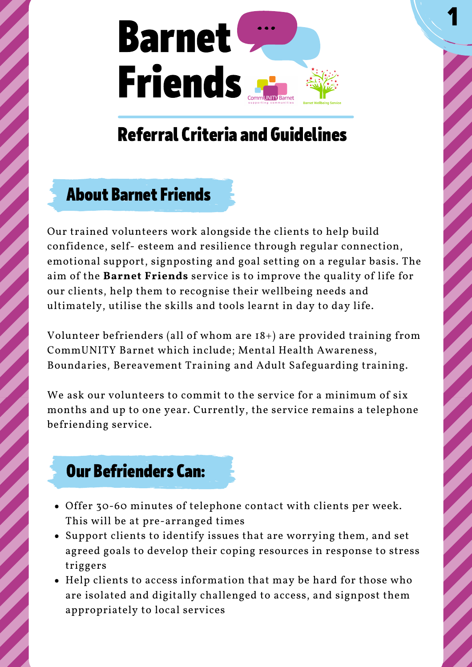

1

# Referral Criteria and Guidelines

### About Barnet Friends

Our trained volunteers work alongside the clients to help build confidence, self- esteem and resilience through regular connection, emotional support, signposting and goal setting on a regular basis. The aim of the **Barnet Friends** service is to improve the quality of life for our clients, help them to recognise their wellbeing needs and ultimately, utilise the skills and tools learnt in day to day life.

Volunteer befrienders (all of whom are 18+) are provided training from CommUNITY Barnet which include; Mental Health Awareness, Boundaries, Bereavement Training and Adult Safeguarding training.

We ask our volunteers to commit to the service for a minimum of six months and up to one year. Currently, the service remains a telephone befriending service.

### Our Befrienders Can:

- Offer 30-60 minutes of telephone contact with clients per week. This will be at pre-arranged times
- Support clients to identify issues that are worrying them, and set agreed goals to develop their coping resources in response to stress triggers
- Help clients to access information that may be hard for those who are isolated and digitally challenged to access, and signpost them appropriately to local services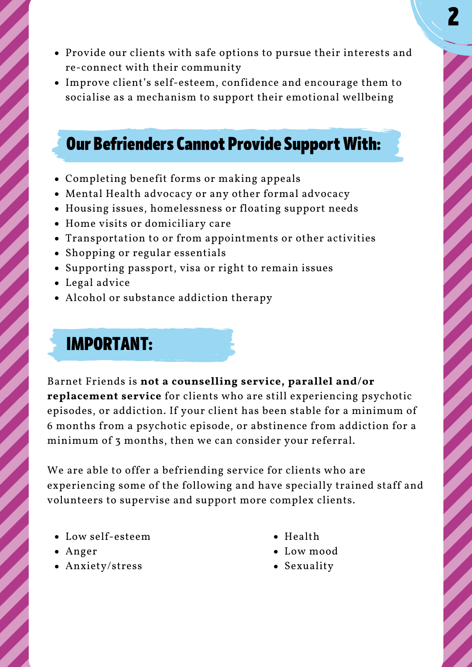2

- Provide our clients with safe options to pursue their interests and re-connect with their community
- Improve client's self-esteem, confidence and encourage them to socialise as a mechanism to support their emotional wellbeing

### **Our Befrienders Cannot Provide Support With:**

- Completing benefit forms or making appeals
- Mental Health advocacy or any other formal advocacy
- Housing issues, homelessness or floating support needs
- Home visits or domiciliary care
- Transportation to or from appointments or other activities
- Shopping or regular essentials
- Supporting passport, visa or right to remain issues
- Legal advice
- Alcohol or substance addiction therapy

## IMPORTANT:

Barnet Friends is **not a counselling service, parallel and/or replacement service** for clients who are still experiencing psychotic episodes, or addiction. If your client has been stable for a minimum of 6 months from a psychotic episode, or abstinence from addiction for a minimum of 3 months, then we can consider your referral.

We are able to offer a befriending service for clients who are experiencing some of the following and have specially trained staff and volunteers to supervise and support more complex clients.

- Low self-esteem
- Anger
- Anxiety/stress
- Health
- Low mood
- Sexuality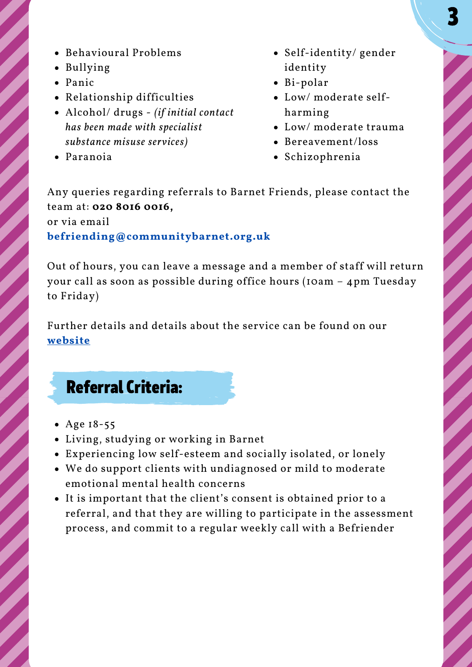- Behavioural Problems
- Bullying
- Panic
- Relationship difficulties
- Alcohol/ drugs *(if initial contact has been made with specialist substance misuse services)*
- Paranoia
- Self-identity/ gender identity
- Bi-polar
- Low/ moderate selfharming
- Low/ moderate trauma
- Bereavement/loss
- Schizophrenia

Any queries regarding referrals to Barnet Friends, please contact the team at: **020 8016 0016,**

or via email **befriending@communitybarnet.org.uk**

Out of hours, you can leave a message and a member of staff will return your call as soon as possible during office hours (10am – 4pm Tuesday to Friday)

Further details and details about the service can be found on our **website**

## Referral Criteria:

- Age 18-55
- Living, studying or working in Barnet
- Experiencing low self-esteem and socially isolated, or lonely
- We do support clients with undiagnosed or mild to moderate emotional mental health concerns
- It is important that the client's consent is obtained prior to a referral, and that they are willing to participate in the assessment process, and commit to a regular weekly call with a Befriender